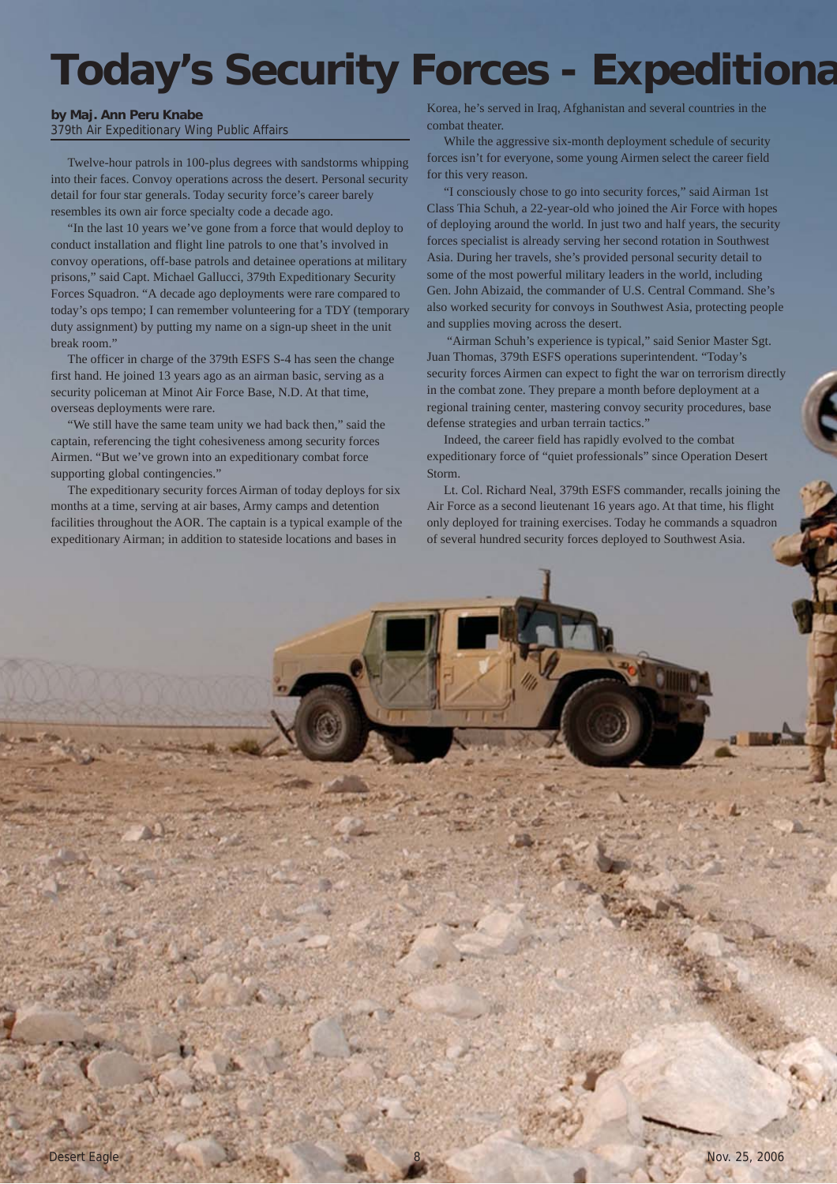## **Today's Security Forces - Expeditiona**

## **by Maj. Ann Peru Knabe** 379th Air Expeditionary Wing Public Affairs

Twelve-hour patrols in 100-plus degrees with sandstorms whipping into their faces. Convoy operations across the desert. Personal security detail for four star generals. Today security force's career barely resembles its own air force specialty code a decade ago.

"In the last 10 years we've gone from a force that would deploy to conduct installation and flight line patrols to one that's involved in convoy operations, off-base patrols and detainee operations at military prisons," said Capt. Michael Gallucci, 379th Expeditionary Security Forces Squadron. "A decade ago deployments were rare compared to today's ops tempo; I can remember volunteering for a TDY (temporary duty assignment) by putting my name on a sign-up sheet in the unit break room."

The officer in charge of the 379th ESFS S-4 has seen the change first hand. He joined 13 years ago as an airman basic, serving as a security policeman at Minot Air Force Base, N.D. At that time, overseas deployments were rare.

"We still have the same team unity we had back then," said the captain, referencing the tight cohesiveness among security forces Airmen. "But we've grown into an expeditionary combat force supporting global contingencies."

The expeditionary security forces Airman of today deploys for six months at a time, serving at air bases, Army camps and detention facilities throughout the AOR. The captain is a typical example of the expeditionary Airman; in addition to stateside locations and bases in

Korea, he's served in Iraq, Afghanistan and several countries in the combat theater.

While the aggressive six-month deployment schedule of security forces isn't for everyone, some young Airmen select the career field for this very reason.

"I consciously chose to go into security forces," said Airman 1st Class Thia Schuh, a 22-year-old who joined the Air Force with hopes of deploying around the world. In just two and half years, the security forces specialist is already serving her second rotation in Southwest Asia. During her travels, she's provided personal security detail to some of the most powerful military leaders in the world, including Gen. John Abizaid, the commander of U.S. Central Command. She's also worked security for convoys in Southwest Asia, protecting people and supplies moving across the desert.

 "Airman Schuh's experience is typical," said Senior Master Sgt. Juan Thomas, 379th ESFS operations superintendent. "Today's security forces Airmen can expect to fight the war on terrorism directly in the combat zone. They prepare a month before deployment at a regional training center, mastering convoy security procedures, base defense strategies and urban terrain tactics."

Indeed, the career field has rapidly evolved to the combat expeditionary force of "quiet professionals" since Operation Desert Storm.

Lt. Col. Richard Neal, 379th ESFS commander, recalls joining the Air Force as a second lieutenant 16 years ago. At that time, his flight only deployed for training exercises. Today he commands a squadron of several hundred security forces deployed to Southwest Asia.